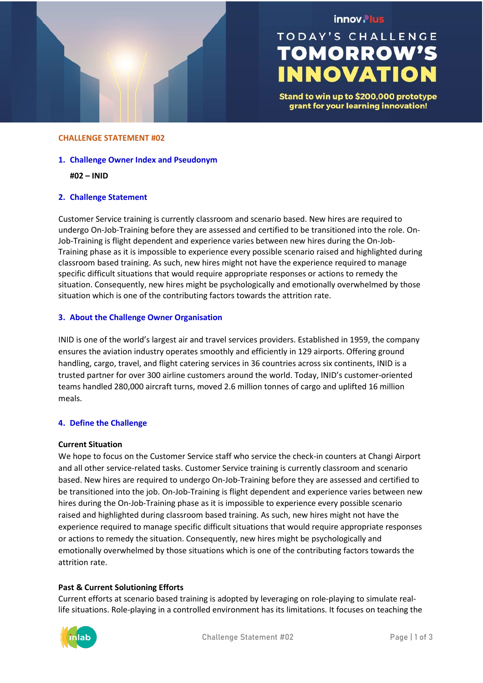

# innov. lus

# **TODAY'S CHALLENGE TOMORROW'S INNOVATION**

Stand to win up to \$200,000 prototype grant for your learning innovation!

#### **CHALLENGE STATEMENT #02**

# **1. Challenge Owner Index and Pseudonym**

**#02 – INID**

# **2. Challenge Statement**

Customer Service training is currently classroom and scenario based. New hires are required to undergo On-Job-Training before they are assessed and certified to be transitioned into the role. On-Job-Training is flight dependent and experience varies between new hires during the On-Job-Training phase as it is impossible to experience every possible scenario raised and highlighted during classroom based training. As such, new hires might not have the experience required to manage specific difficult situations that would require appropriate responses or actions to remedy the situation. Consequently, new hires might be psychologically and emotionally overwhelmed by those situation which is one of the contributing factors towards the attrition rate.

# **3. About the Challenge Owner Organisation**

INID is one of the world's largest air and travel services providers. Established in 1959, the company ensures the aviation industry operates smoothly and efficiently in 129 airports. Offering ground handling, cargo, travel, and flight catering services in 36 countries across six continents, INID is a trusted partner for over 300 airline customers around the world. Today, INID's customer-oriented teams handled 280,000 aircraft turns, moved 2.6 million tonnes of cargo and uplifted 16 million meals.

# **4. Define the Challenge**

#### **Current Situation**

We hope to focus on the Customer Service staff who service the check-in counters at Changi Airport and all other service-related tasks. Customer Service training is currently classroom and scenario based. New hires are required to undergo On-Job-Training before they are assessed and certified to be transitioned into the job. On-Job-Training is flight dependent and experience varies between new hires during the On-Job-Training phase as it is impossible to experience every possible scenario raised and highlighted during classroom based training. As such, new hires might not have the experience required to manage specific difficult situations that would require appropriate responses or actions to remedy the situation. Consequently, new hires might be psychologically and emotionally overwhelmed by those situations which is one of the contributing factors towards the attrition rate.

# **Past & Current Solutioning Efforts**

Current efforts at scenario based training is adopted by leveraging on role-playing to simulate reallife situations. Role-playing in a controlled environment has its limitations. It focuses on teaching the

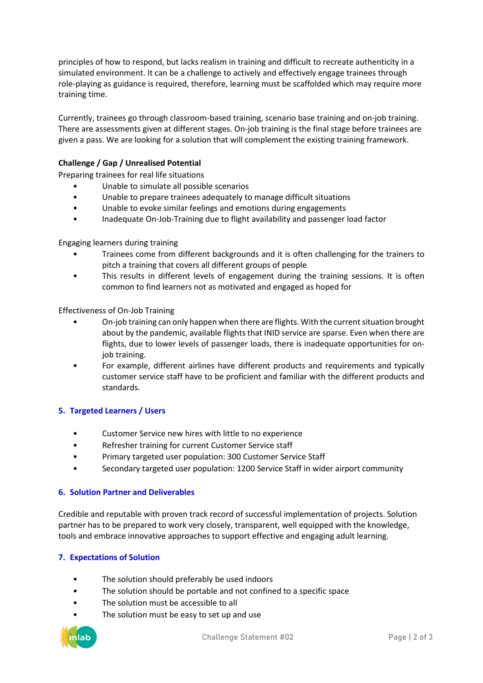principles of how to respond, but lacks realism in training and difficult to recreate authenticity in a simulated environment. It can be a challenge to actively and effectively engage trainees through role-playing as guidance is required, therefore, learning must be scaffolded which may require more training time.

Currently, trainees go through classroom-based training, scenario base training and on-job training. There are assessments given at different stages. On-job training is the final stage before trainees are given a pass. We are looking for a solution that will complement the existing training framework.

# **Challenge / Gap / Unrealised Potential**

Preparing trainees for real life situations

- Unable to simulate all possible scenarios
- Unable to prepare trainees adequately to manage difficult situations
- Unable to evoke similar feelings and emotions during engagements
- Inadequate On-Job-Training due to flight availability and passenger load factor

# Engaging learners during training

- Trainees come from different backgrounds and it is often challenging for the trainers to pitch a training that covers all different groups of people
- This results in different levels of engagement during the training sessions. It is often common to find learners not as motivated and engaged as hoped for

Effectiveness of On-Job Training

- On-job training can only happen when there are flights. With the current situation brought about by the pandemic, available flights that INID service are sparse. Even when there are flights, due to lower levels of passenger loads, there is inadequate opportunities for onjob training.
- For example, different airlines have different products and requirements and typically customer service staff have to be proficient and familiar with the different products and standards.

# **5. Targeted Learners / Users**

- Customer Service new hires with little to no experience
- Refresher training for current Customer Service staff
- Primary targeted user population: 300 Customer Service Staff
- Secondary targeted user population: 1200 Service Staff in wider airport community

# **6. Solution Partner and Deliverables**

Credible and reputable with proven track record of successful implementation of projects. Solution partner has to be prepared to work very closely, transparent, well equipped with the knowledge, tools and embrace innovative approaches to support effective and engaging adult learning.

# **7. Expectations of Solution**

- The solution should preferably be used indoors
- The solution should be portable and not confined to a specific space
- The solution must be accessible to all
- The solution must be easy to set up and use